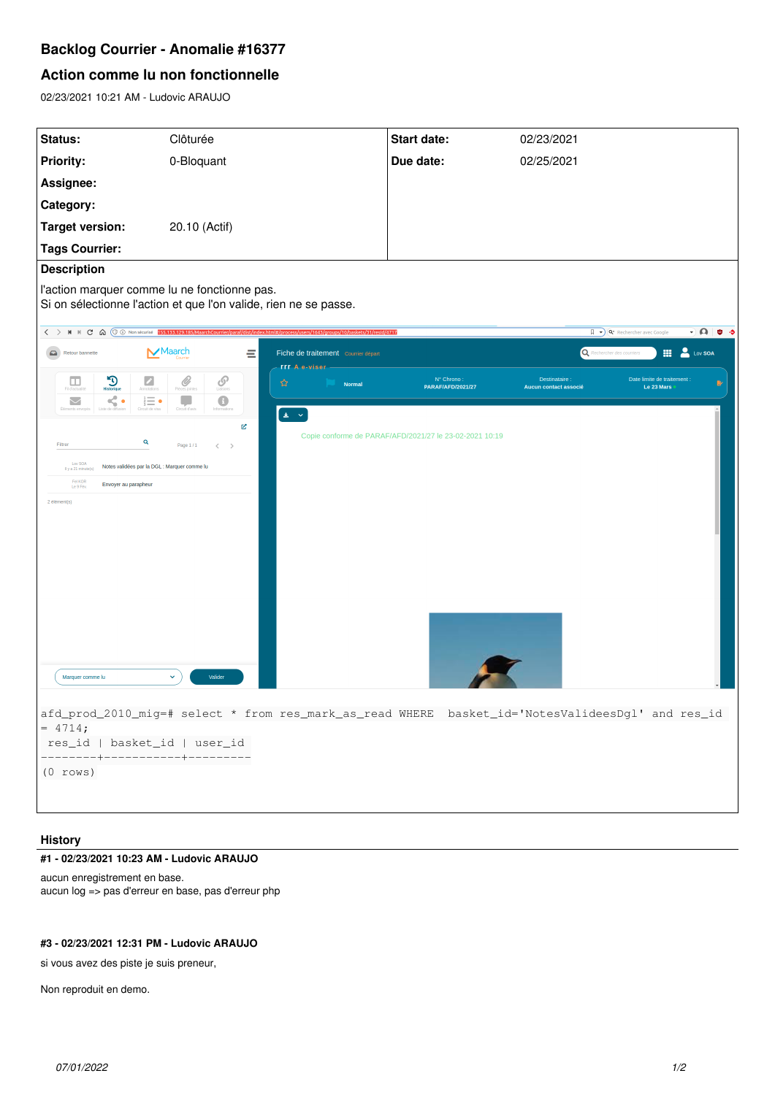# **Backlog Courrier - Anomalie #16377**

## **Action comme lu non fonctionnelle**

02/23/2021 10:21 AM - Ludovic ARAUJO

| Status:                                                                                                              | Clôturée                                                                                                                                          | Start date:                                             | 02/23/2021                                   |                                           |
|----------------------------------------------------------------------------------------------------------------------|---------------------------------------------------------------------------------------------------------------------------------------------------|---------------------------------------------------------|----------------------------------------------|-------------------------------------------|
| <b>Priority:</b>                                                                                                     | 0-Bloquant                                                                                                                                        | Due date:                                               | 02/25/2021                                   |                                           |
| Assignee:                                                                                                            |                                                                                                                                                   |                                                         |                                              |                                           |
| Category:                                                                                                            |                                                                                                                                                   |                                                         |                                              |                                           |
| <b>Target version:</b>                                                                                               | 20.10 (Actif)                                                                                                                                     |                                                         |                                              |                                           |
| <b>Tags Courrier:</b>                                                                                                |                                                                                                                                                   |                                                         |                                              |                                           |
| <b>Description</b>                                                                                                   |                                                                                                                                                   |                                                         |                                              |                                           |
| l'action marquer comme lu ne fonctionne pas.                                                                         |                                                                                                                                                   |                                                         |                                              |                                           |
|                                                                                                                      | Si on sélectionne l'action et que l'on valide, rien ne se passe.                                                                                  |                                                         |                                              |                                           |
|                                                                                                                      | < > M N C < < > M N C < < < > M + C < < < ES.133.129.185/MaarchCourrier/paraf/dist/index.html#/process/users/1643/groups/10/baskets/31/resId/4717 |                                                         | Q* Rechercher avec Google                    | $\neg$ $\bigcirc$ $\bigcirc$ $\circ$      |
| Retour bannette                                                                                                      | $\mathsf{\blacktriangleright}$ Maarch<br>Ξ<br>Fiche de traitement courrier départ<br><b>rrr</b> A e-viser                                         |                                                         | Rechercher des courr                         | Lov SOA<br>噩                              |
| $\sum_{\text{Historique}}$<br>$\sqrt{\frac{1}{2}}$<br>$\Box$                                                         | $\mathscr{Q}_{\text{process}}$<br>$\mathcal{S}$<br>☆<br><b>Normal</b>                                                                             | Nº Chrono:<br><b>PARAFIAFDI2021/27</b>                  | <b>Destinataire</b><br>Aucun contact associé | Date limite de traitement :<br>Le 23 Mars |
| <br>$\leq$<br>$\stackrel{\scriptscriptstyle \rm i}{\scriptscriptstyle \rm i\scriptstyle}\equiv\bullet$<br>$\sim$<br> | $\bullet$<br>٤<br>Circuit d'avis<br>$\pm$ $\sim$                                                                                                  |                                                         |                                              |                                           |
|                                                                                                                      | R                                                                                                                                                 | Copie conforme de PARAF/AFD/2021/27 le 23-02-2021 10:19 |                                              |                                           |
| Q<br>Filtrer<br>Page 1/1<br>$\langle \quad \rangle$                                                                  |                                                                                                                                                   |                                                         |                                              |                                           |
| Lov SOA<br>Notes validées par la DGL : Marquer comme lu<br>Il y a 21 minute(s)<br>Fel KOR                            |                                                                                                                                                   |                                                         |                                              |                                           |
| Envoyer au parapheur<br>Le 9 Fév.<br>2 élément(s)                                                                    |                                                                                                                                                   |                                                         |                                              |                                           |
|                                                                                                                      |                                                                                                                                                   |                                                         |                                              |                                           |
|                                                                                                                      |                                                                                                                                                   |                                                         |                                              |                                           |
|                                                                                                                      |                                                                                                                                                   |                                                         |                                              |                                           |
|                                                                                                                      |                                                                                                                                                   |                                                         |                                              |                                           |
|                                                                                                                      |                                                                                                                                                   |                                                         |                                              |                                           |
|                                                                                                                      |                                                                                                                                                   |                                                         |                                              |                                           |
|                                                                                                                      |                                                                                                                                                   |                                                         |                                              |                                           |
|                                                                                                                      |                                                                                                                                                   |                                                         |                                              |                                           |
| Marquer comme lu                                                                                                     | $\checkmark$<br>Valider                                                                                                                           |                                                         |                                              |                                           |
| afd_prod_2010_mig=# select * from res_mark_as_read WHERE basket_id='NotesValideesDgl' and res_id                     |                                                                                                                                                   |                                                         |                                              |                                           |
| $= 4714;$                                                                                                            |                                                                                                                                                   |                                                         |                                              |                                           |
| res_id   basket_id   user_id<br>--------+-----------+---------                                                       |                                                                                                                                                   |                                                         |                                              |                                           |
| $(0$ rows)                                                                                                           |                                                                                                                                                   |                                                         |                                              |                                           |
|                                                                                                                      |                                                                                                                                                   |                                                         |                                              |                                           |
|                                                                                                                      |                                                                                                                                                   |                                                         |                                              |                                           |

## **History**

#### **#1 - 02/23/2021 10:23 AM - Ludovic ARAUJO**

aucun enregistrement en base. aucun log => pas d'erreur en base, pas d'erreur php

## **#3 - 02/23/2021 12:31 PM - Ludovic ARAUJO**

si vous avez des piste je suis preneur,

Non reproduit en demo.